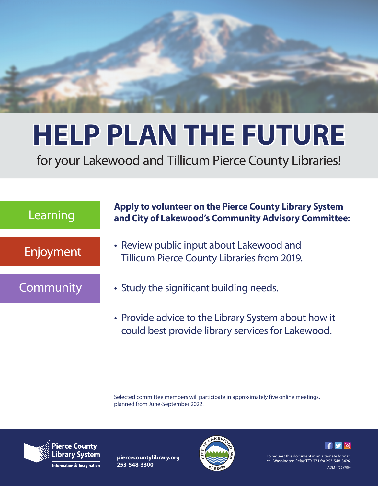

## **HELP PLAN THE FUTURE**

for your Lakewood and Tillicum Pierce County Libraries!



• Provide advice to the Library System about how it could best provide library services for Lakewood.

Selected committee members will participate in approximately five online meetings, planned from June-September 2022.



**piercecountylibrary.org 253-548-3300**



To request this document in an alternate format, call Washington Relay TTY 771 for 253-548-3426. ADM 4/22 (700)